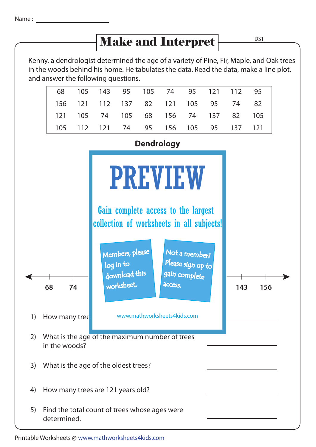## Make and Interpret

Kenny, a dendrologist determined the age of a variety of Pine, Fir, Maple, and Oak trees in the woods behind his home. He tabulates the data. Read the data, make a line plot, and answer the following questions.

|                                      |  |  |  | 68 105 143 95 105 74 95 121 112 95 |  |
|--------------------------------------|--|--|--|------------------------------------|--|
| 156 121 112 137 82 121 105 95 74 82  |  |  |  |                                    |  |
| 121 105 74 105 68 156 74 137 82 105  |  |  |  |                                    |  |
| 105 112 121 74 95 156 105 95 137 121 |  |  |  |                                    |  |



Printable Worksheets @ www.mathworksheets4kids.com